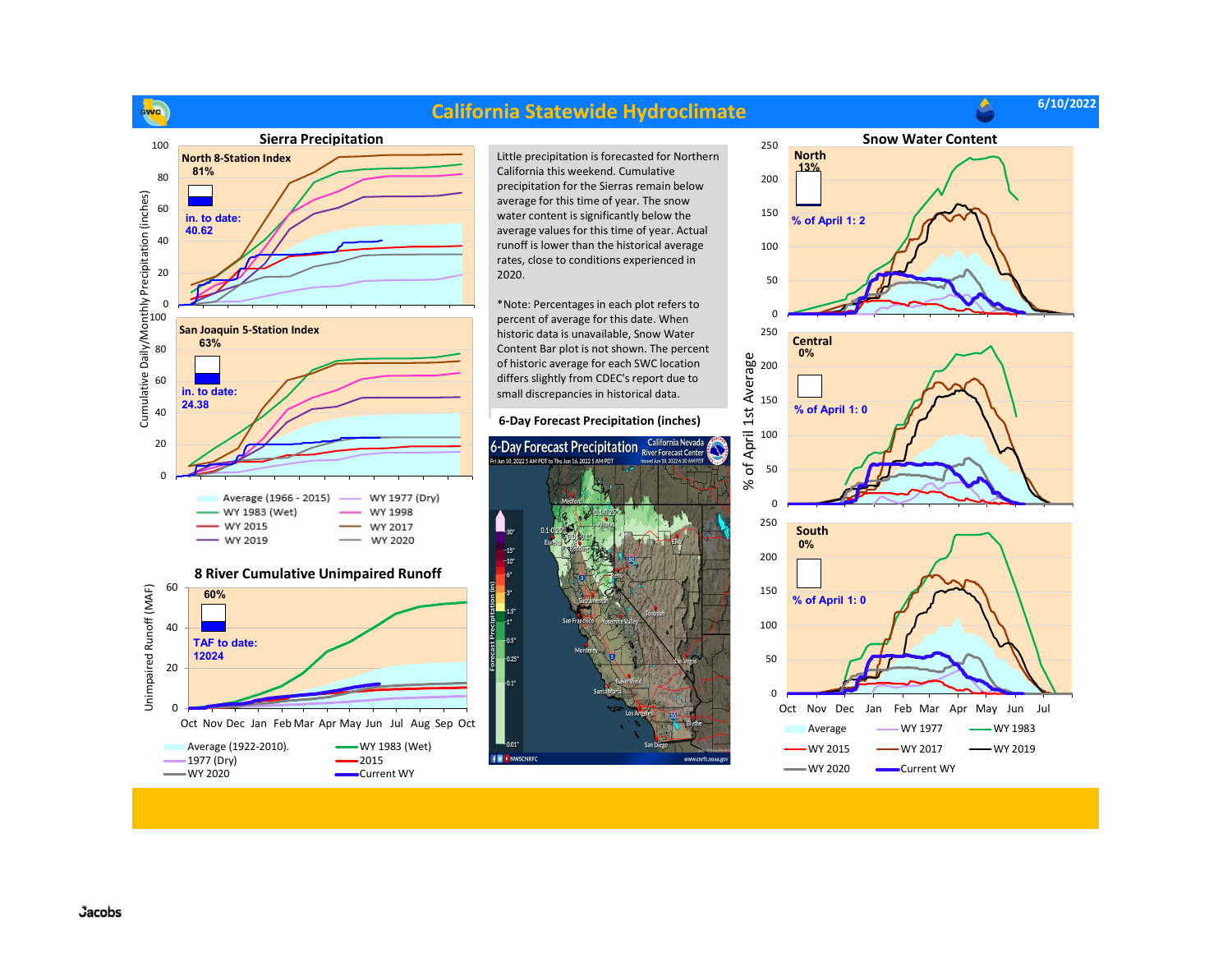

## California Statewide Hydroclimate

6/10/2022